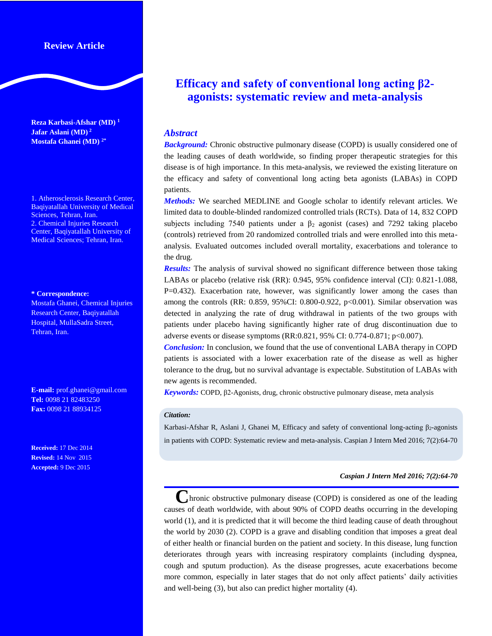# **Review Article**

**Reza Karbasi-Afshar (MD) 1 Jafar Aslani (MD) 2 Mostafa Ghanei (MD) 2\***

1. Atherosclerosis Research Center, Baqiyatallah University of Medical Sciences, Tehran, Iran. 2. Chemical Injuries Research Center, Baqiyatallah University of Medical Sciences; Tehran, Iran.

#### **\* Correspondence:**

Mostafa Ghanei, Chemical Injuries Research Center, Baqiyatallah Hospital, MullaSadra Street, Tehran, Iran.

**E-mail:** prof.ghanei@gmail.com **Tel:** 0098 21 82483250 **Fax:** 0098 21 88934125

**Received:** 17 Dec 2014 **Revised:** 14 Nov 2015 **Accepted:** 9 Dec 2015

# **Efficacy and safety of conventional long acting β2 agonists: systematic review and meta-analysis**

## *Abstract*

**Background:** Chronic obstructive pulmonary disease (COPD) is usually considered one of the leading causes of death worldwide, so finding proper therapeutic strategies for this disease is of high importance. In this meta-analysis, we reviewed the existing literature on the efficacy and safety of conventional long acting beta agonists (LABAs) in COPD patients.

*Methods:* We searched MEDLINE and Google scholar to identify relevant articles. We limited data to double-blinded randomized controlled trials (RCTs). Data of 14, 832 COPD subjects including 7540 patients under a  $\beta_2$  agonist (cases) and 7292 taking placebo (controls) retrieved from 20 randomized controlled trials and were enrolled into this metaanalysis. Evaluated outcomes included overall mortality, exacerbations and tolerance to the drug.

*Results:* The analysis of survival showed no significant difference between those taking LABAs or placebo (relative risk (RR): 0.945, 95% confidence interval (CI): 0.821-1.088, P=0.432). Exacerbation rate, however, was significantly lower among the cases than among the controls (RR:  $0.859$ ,  $95\%$ CI:  $0.800$ - $0.922$ ,  $p<0.001$ ). Similar observation was detected in analyzing the rate of drug withdrawal in patients of the two groups with patients under placebo having significantly higher rate of drug discontinuation due to adverse events or disease symptoms (RR:0.821, 95% CI: 0.774-0.871; p<0.007).

*Conclusion:* In conclusion, we found that the use of conventional LABA therapy in COPD patients is associated with a lower exacerbation rate of the disease as well as higher tolerance to the drug, but no survival advantage is expectable. Substitution of LABAs with new agents is recommended.

*Keywords:* COPD, β2-Agonists, drug, chronic obstructive pulmonary disease, meta analysis

#### *Citation:*

Karbasi-Afshar R, Aslani J, Ghanei M, Efficacy and safety of conventional long-acting β2-agonists in patients with COPD: Systematic review and meta-analysis. Caspian J Intern Med 2016; 7(2):64-70

### *Caspian J Intern Med 2016; 7(2):64-70*

**hronic obstructive pulmonary disease (COPD)** is considered as one of the leading causes of death worldwide, with about 90% of COPD deaths occurring in the developing world (1), and it is predicted that it will become the third leading cause of death throughout the world by 2030 (2). COPD is a grave and disabling condition that imposes a great deal of either health or financial burden on the patient and society. In this disease, lung function deteriorates through years with increasing respiratory complaints (including dyspnea, cough and sputum production). As the disease progresses, acute exacerbations become more common, especially in later stages that do not only affect patients' daily activities and well-being (3), but also can predict higher mortality (4).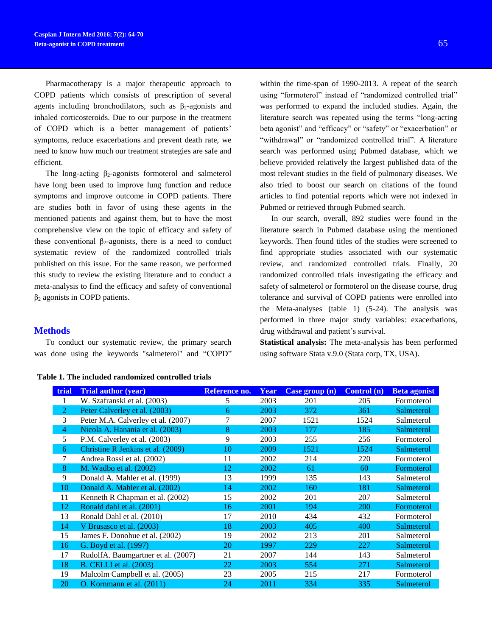Pharmacotherapy is a major therapeutic approach to COPD patients which consists of prescription of several agents including bronchodilators, such as  $\beta_2$ -agonists and inhaled corticosteroids. Due to our purpose in the treatment of COPD which is a better management of patients' symptoms, reduce exacerbations and prevent death rate, we need to know how much our treatment strategies are safe and efficient.

The long-acting  $\beta_2$ -agonists formoterol and salmeterol have long been used to improve lung function and reduce symptoms and improve outcome in COPD patients. There are studies both in favor of using these agents in the mentioned patients and against them, but to have the most comprehensive view on the topic of efficacy and safety of these conventional  $\beta_2$ -agonists, there is a need to conduct systematic review of the randomized controlled trials published on this issue. For the same reason, we performed this study to review the existing literature and to conduct a meta-analysis to find the efficacy and safety of conventional  $β<sub>2</sub>$  agonists in COPD patients.

## **Methods**

To conduct our systematic review, the primary search was done using the keywords "salmeterol" and "COPD"

#### **Table 1. The included randomized controlled trials**

within the time-span of 1990-2013. A repeat of the search using "formoterol" instead of "randomized controlled trial" was performed to expand the included studies. Again, the literature search was repeated using the terms "long-acting beta agonist" and "efficacy" or "safety" or "exacerbation" or "withdrawal" or "randomized controlled trial". A literature search was performed using Pubmed database, which we believe provided relatively the largest published data of the most relevant studies in the field of pulmonary diseases. We also tried to boost our search on citations of the found articles to find potential reports which were not indexed in Pubmed or retrieved through Pubmed search.

In our search, overall, 892 studies were found in the literature search in Pubmed database using the mentioned keywords. Then found titles of the studies were screened to find appropriate studies associated with our systematic review, and randomized controlled trials. Finally, 20 randomized controlled trials investigating the efficacy and safety of salmeterol or formoterol on the disease course, drug tolerance and survival of COPD patients were enrolled into the Meta-analyses (table 1) (5-24). The analysis was performed in three major study variables: exacerbations, drug withdrawal and patient's survival.

**Statistical analysis:** The meta-analysis has been performed using software Stata v.9.0 (Stata corp, TX, USA).

| trial | <b>Trial author (year)</b>         | Reference no. | Year | Case group (n) | <b>Control</b> (n) | <b>Beta agonist</b> |
|-------|------------------------------------|---------------|------|----------------|--------------------|---------------------|
|       | W. Szafranski et al. (2003)        | 5             | 2003 | 201            | 205                | Formoterol          |
| 2     | Peter Calverley et al. (2003)      | 6             | 2003 | 372            | 361                | Salmeterol          |
| 3     | Peter M.A. Calverley et al. (2007) |               | 2007 | 1521           | 1524               | Salmeterol          |
| 4     | Nicola A. Hanania et al. (2003)    | 8             | 2003 | 177            | 185                | Salmeterol          |
| 5     | P.M. Calverley et al. (2003)       | 9             | 2003 | 255            | 256                | Formoterol          |
| 6     | Christine R Jenkins et al. (2009)  | 10            | 2009 | 1521           | 1524               | Salmeterol          |
|       | Andrea Rossi et al. (2002)         | 11            | 2002 | 214            | 220                | Formoterol          |
| 8     | M. Wadbo et al. (2002)             | 12            | 2002 | 61             | 60                 | Formoterol          |
| 9     | Donald A. Mahler et al. (1999)     | 13            | 1999 | 135            | 143                | Salmeterol          |
| 10    | Donald A. Mahler et al. (2002)     | 14            | 2002 | 160            | 181                | Salmeterol          |
| 11    | Kenneth R Chapman et al. (2002)    | 15            | 2002 | 201            | 207                | Salmeterol          |
| 12    | Ronald dahl et al. (2001)          | 16            | 2001 | 194            | <b>200</b>         | Formoterol          |
| 13    | Ronald Dahl et al. (2010)          | 17            | 2010 | 434            | 432                | Formoterol          |
| 14    | V Brusasco et al. (2003)           | 18            | 2003 | 405            | 400                | Salmeterol          |
| 15    | James F. Donohue et al. (2002)     | 19            | 2002 | 213            | 201                | Salmeterol          |
| 16    | G. Boyd et al. (1997)              | <b>20</b>     | 1997 | 229            | 227                | Salmeterol          |
| 17    | RudolfA. Baumgartner et al. (2007) | 21            | 2007 | 144            | 143                | Salmeterol          |
| 18    | <b>B.</b> CELLI et al. (2003)      | 22            | 2003 | 554            | 271                | Salmeterol          |
| 19    | Malcolm Campbell et al. (2005)     | 23            | 2005 | 215            | 217                | Formoterol          |
| 20    | O. Kornmann et al. (2011)          | 24            | 2011 | 334            | 335                | Salmeterol          |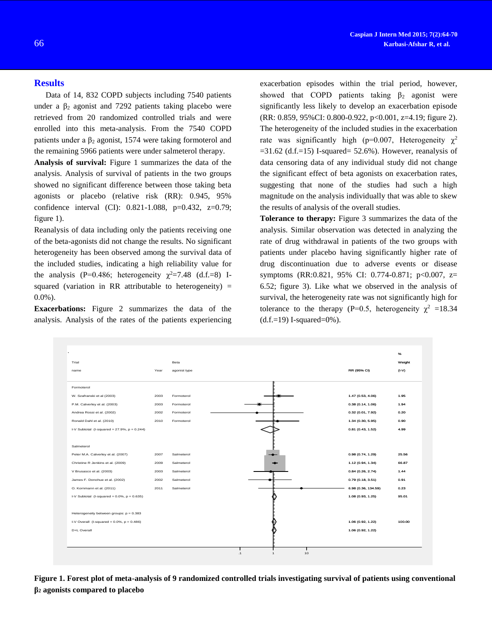## **Results**

Data of 14, 832 COPD subjects including 7540 patients under a  $\beta_2$  agonist and 7292 patients taking placebo were retrieved from 20 randomized controlled trials and were enrolled into this meta-analysis. From the 7540 COPD patients under a  $\beta_2$  agonist, 1574 were taking formoterol and the remaining 5966 patients were under salmeterol therapy.

**Analysis of survival:** Figure 1 summarizes the data of the analysis. Analysis of survival of patients in the two groups showed no significant difference between those taking beta agonists or placebo (relative risk (RR): 0.945, 95% confidence interval (CI): 0.821-1.088, p=0.432, z=0.79; figure 1).

Reanalysis of data including only the patients receiving one of the beta-agonists did not change the results. No significant heterogeneity has been observed among the survival data of the included studies, indicating a high reliability value for the analysis (P=0.486; heterogeneity  $\gamma^2 = 7.48$  (d.f.=8) Isquared (variation in RR attributable to heterogeneity)  $=$ 0.0%).

**Exacerbations:** Figure 2 summarizes the data of the analysis. Analysis of the rates of the patients experiencing

**β<sup>2</sup> agonists compared to placebo**

exacerbation episodes within the trial period, however, showed that COPD patients taking  $\beta_2$  agonist were significantly less likely to develop an exacerbation episode (RR: 0.859, 95%CI: 0.800-0.922, p<0.001, z=4.19; figure 2). The heterogeneity of the included studies in the exacerbation rate was significantly high (p=0.007, Heterogeneity  $\gamma^2$  $=$ 31.62 (d.f. $=$ 15) I-squared $=$  52.6%). However, reanalysis of data censoring data of any individual study did not change the significant effect of beta agonists on exacerbation rates, suggesting that none of the studies had such a high magnitude on the analysis individually that was able to skew the results of analysis of the overall studies.

**Tolerance to therapy:** Figure 3 summarizes the data of the analysis. Similar observation was detected in analyzing the rate of drug withdrawal in patients of the two groups with patients under placebo having significantly higher rate of drug discontinuation due to adverse events or disease symptoms (RR:0.821, 95% CI: 0.774-0.871; p<0.007, z= 6.52; figure 3). Like what we observed in the analysis of survival, the heterogeneity rate was not significantly high for tolerance to the therapy (P=0.5, heterogeneity  $\chi^2$  =18.34  $(d.f.=19)$  I-squared=0%).

**Figure 1. Forest plot of meta-analysis of 9 randomized controlled trials investigating survival of patients using conventional**  D+L Overall 1.06 (0.92, 1.22) .1 1 10

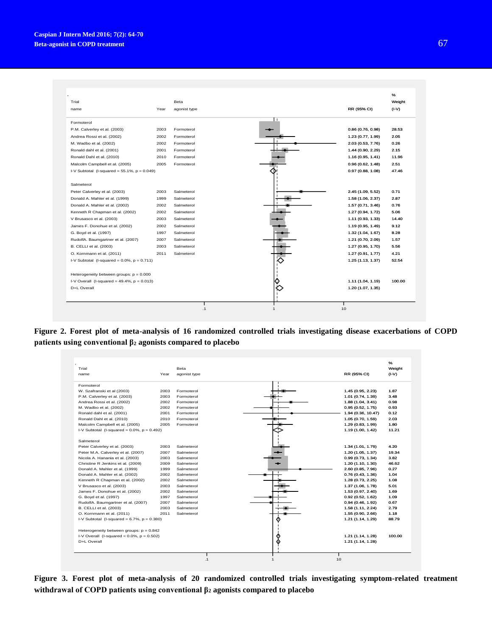

**Figure 2. Forest plot of meta-analysis of 16 randomized controlled trials investigating disease exacerbations of COPD patients using conventional β<sup>2</sup> agonists compared to placebo**



**Figure 3. Forest plot of meta-analysis of 20 randomized controlled trials investigating symptom-related treatment withdrawal of COPD patients using conventional β<sup>2</sup> agonists compared to placebo**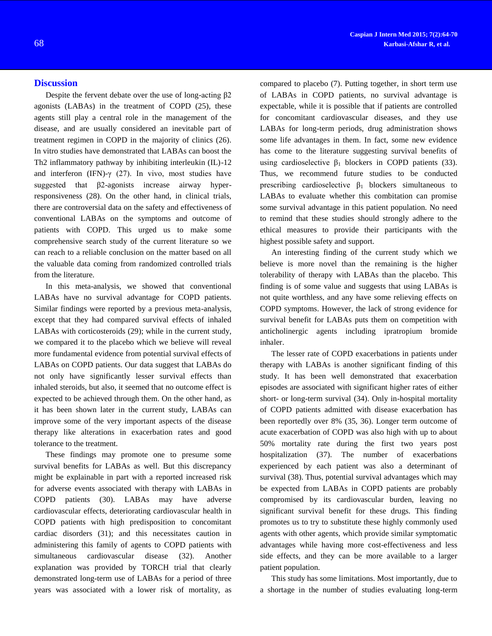# **Discussion**

Despite the fervent debate over the use of long-acting β2 agonists (LABAs) in the treatment of COPD (25), these agents still play a central role in the management of the disease, and are usually considered an inevitable part of treatment regimen in COPD in the majority of clinics (26). In vitro studies have demonstrated that LABAs can boost the Th2 inflammatory pathway by inhibiting interleukin (IL)-12 and interferon (IFN)- $\gamma$  (27). In vivo, most studies have suggested that β2-agonists increase airway hyperresponsiveness (28). On the other hand, in clinical trials, there are controversial data on the safety and effectiveness of conventional LABAs on the symptoms and outcome of patients with COPD. This urged us to make some comprehensive search study of the current literature so we can reach to a reliable conclusion on the matter based on all the valuable data coming from randomized controlled trials from the literature.

In this meta-analysis, we showed that conventional LABAs have no survival advantage for COPD patients. Similar findings were reported by a previous meta-analysis, except that they had compared survival effects of inhaled LABAs with corticosteroids (29); while in the current study, we compared it to the placebo which we believe will reveal more fundamental evidence from potential survival effects of LABAs on COPD patients. Our data suggest that LABAs do not only have significantly lesser survival effects than inhaled steroids, but also, it seemed that no outcome effect is expected to be achieved through them. On the other hand, as it has been shown later in the current study, LABAs can improve some of the very important aspects of the disease therapy like alterations in exacerbation rates and good tolerance to the treatment.

These findings may promote one to presume some survival benefits for LABAs as well. But this discrepancy might be explainable in part with a reported increased risk for adverse events associated with therapy with LABAs in COPD patients (30). LABAs may have adverse cardiovascular effects, deteriorating cardiovascular health in COPD patients with high predisposition to concomitant cardiac disorders (31); and this necessitates caution in administering this family of agents to COPD patients with simultaneous cardiovascular disease (32). Another explanation was provided by TORCH trial that clearly demonstrated long-term use of LABAs for a period of three years was associated with a lower risk of mortality, as

compared to placebo (7). Putting together, in short term use of LABAs in COPD patients, no survival advantage is expectable, while it is possible that if patients are controlled for concomitant cardiovascular diseases, and they use LABAs for long-term periods, drug administration shows some life advantages in them. In fact, some new evidence has come to the literature suggesting survival benefits of using cardioselective  $β_1$  blockers in COPD patients (33). Thus, we recommend future studies to be conducted prescribing cardioselective  $\beta_1$  blockers simultaneous to LABAs to evaluate whether this combitation can promise some survival advantage in this patient population. No need to remind that these studies should strongly adhere to the ethical measures to provide their participants with the highest possible safety and support.

An interesting finding of the current study which we believe is more novel than the remaining is the higher tolerability of therapy with LABAs than the placebo. This finding is of some value and suggests that using LABAs is not quite worthless, and any have some relieving effects on COPD symptoms. However, the lack of strong evidence for survival benefit for LABAs puts them on competition with anticholinergic agents including ipratropium bromide inhaler.

The lesser rate of COPD exacerbations in patients under therapy with LABAs is another significant finding of this study. It has been well demonstrated that exacerbation episodes are associated with significant higher rates of either short- or long-term survival (34). Only in-hospital mortality of COPD patients admitted with disease exacerbation has been reportedly over 8% (35, 36). Longer term outcome of acute exacerbation of COPD was also high with up to about 50% mortality rate during the first two years post hospitalization (37). The number of exacerbations experienced by each patient was also a determinant of survival (38). Thus, potential survival advantages which may be expected from LABAs in COPD patients are probably compromised by its cardiovascular burden, leaving no significant survival benefit for these drugs. This finding promotes us to try to substitute these highly commonly used agents with other agents, which provide similar symptomatic advantages while having more cost-effectiveness and less side effects, and they can be more available to a larger patient population.

This study has some limitations. Most importantly, due to a shortage in the number of studies evaluating long-term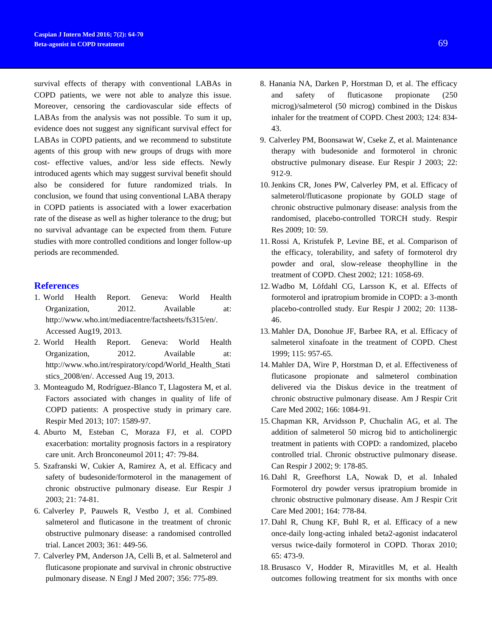survival effects of therapy with conventional LABAs in COPD patients, we were not able to analyze this issue. Moreover, censoring the cardiovascular side effects of LABAs from the analysis was not possible. To sum it up, evidence does not suggest any significant survival effect for LABAs in COPD patients, and we recommend to substitute agents of this group with new groups of drugs with more cost- effective values, and/or less side effects. Newly introduced agents which may suggest survival benefit should also be considered for future randomized trials. In conclusion, we found that using conventional LABA therapy in COPD patients is associated with a lower exacerbation rate of the disease as well as higher tolerance to the drug; but no survival advantage can be expected from them. Future studies with more controlled conditions and longer follow-up periods are recommended.

# **References**

- 1. World Health Report. Geneva: World Health Organization, 2012. Available at: [http://www.who.int/mediacentre/factsheets/fs315/en/.](http://www.who.int/mediacentre/factsheets/fs315/en/) Accessed Aug19, 2013.
- 2. World Health Report. Geneva: World Health Organization, 2012. Available at: [http://www.who.int/respiratory/copd/World\\_Health\\_Stati](http://www.who.int/respiratory/copd/World_Health_Statistics_2008/en/) [stics\\_2008/en/.](http://www.who.int/respiratory/copd/World_Health_Statistics_2008/en/) Accessed Aug 19, 2013.
- 3. Monteagudo M, Rodríguez-Blanco T, Llagostera M, et al. Factors associated with changes in quality of life of COPD patients: A prospective study in primary care. Respir Med 2013; 107: 1589-97.
- 4. Aburto M, Esteban C, Moraza FJ, et al. COPD exacerbation: mortality prognosis factors in a respiratory care unit. Arch Bronconeumol 2011; 47: 79-84.
- 5. Szafranski W, Cukier A, Ramirez A, et al. Efficacy and safety of budesonide/formoterol in the management of chronic obstructive pulmonary disease. Eur Respir J 2003; 21: 74-81.
- 6. Calverley P, Pauwels R, Vestbo J, et al. Combined salmeterol and fluticasone in the treatment of chronic obstructive pulmonary disease: a randomised controlled trial. Lancet 2003; 361: 449-56.
- 7. Calverley PM, Anderson JA, Celli B, et al. Salmeterol and fluticasone propionate and survival in chronic obstructive pulmonary disease. N Engl J Med 2007; 356: 775-89.
- 8. Hanania NA, Darken P, Horstman D, et al. The efficacy and safety of fluticasone propionate (250 microg)/salmeterol (50 microg) combined in the Diskus inhaler for the treatment of COPD. Chest 2003; 124: 834- 43.
- 9. Calverley PM, Boonsawat W, Cseke Z, et al. Maintenance therapy with budesonide and formoterol in chronic obstructive pulmonary disease. Eur Respir J 2003; 22: 912-9.
- 10.Jenkins CR, Jones PW, Calverley PM, et al. Efficacy of salmeterol/fluticasone propionate by GOLD stage of chronic obstructive pulmonary disease: analysis from the randomised, placebo-controlled TORCH study. Respir Res 2009; 10: 59.
- 11. Rossi A, Kristufek P, Levine BE, et al. Comparison of the efficacy, tolerability, and safety of formoterol dry powder and oral, slow-release theophylline in the treatment of COPD. Chest 2002; 121: 1058-69.
- 12. Wadbo M, Löfdahl CG, Larsson K, et al. Effects of formoterol and ipratropium bromide in COPD: a 3-month placebo-controlled study. Eur Respir J 2002; 20: 1138- 46.
- 13. Mahler DA, Donohue JF, Barbee RA, et al. Efficacy of salmeterol xinafoate in the treatment of COPD. Chest 1999; 115: 957-65.
- 14. Mahler DA, Wire P, Horstman D, et al. Effectiveness of fluticasone propionate and salmeterol combination delivered via the Diskus device in the treatment of chronic obstructive pulmonary disease. Am J Respir Crit Care Med 2002; 166: 1084-91.
- 15. Chapman KR, Arvidsson P, Chuchalin AG, et al. The addition of salmeterol 50 microg bid to anticholinergic treatment in patients with COPD: a randomized, placebo controlled trial. Chronic obstructive pulmonary disease. Can Respir J 2002; 9: 178-85.
- 16. Dahl R, Greefhorst LA, Nowak D, et al. Inhaled Formoterol dry powder versus ipratropium bromide in chronic obstructive pulmonary disease. Am J Respir Crit Care Med 2001; 164: 778-84.
- 17. Dahl R, Chung KF, Buhl R, et al. Efficacy of a new once-daily long-acting inhaled beta2-agonist indacaterol versus twice-daily formoterol in COPD. Thorax 2010; 65: 473-9.
- 18. Brusasco V, Hodder R, Miravitlles M, et al. Health outcomes following treatment for six months with once